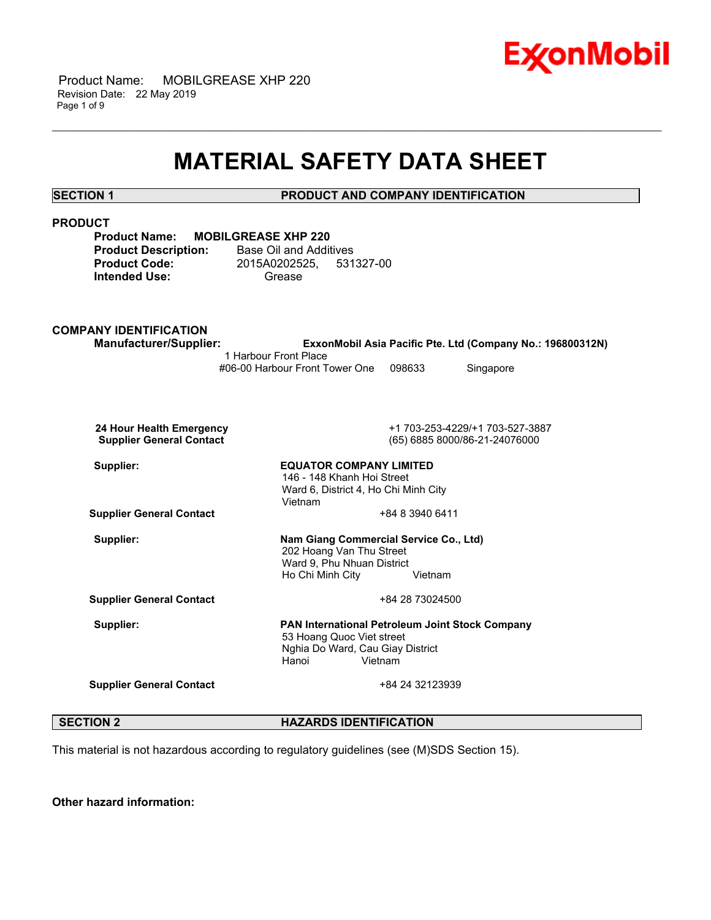

 Product Name: MOBILGREASE XHP 220 Revision Date: 22 May 2019 Page 1 of 9

## **MATERIAL SAFETY DATA SHEET**

\_\_\_\_\_\_\_\_\_\_\_\_\_\_\_\_\_\_\_\_\_\_\_\_\_\_\_\_\_\_\_\_\_\_\_\_\_\_\_\_\_\_\_\_\_\_\_\_\_\_\_\_\_\_\_\_\_\_\_\_\_\_\_\_\_\_\_\_\_\_\_\_\_\_\_\_\_\_\_\_\_\_\_\_\_\_\_\_\_\_\_\_\_\_\_\_\_\_\_\_\_\_\_\_\_\_\_\_\_\_\_\_\_\_\_\_\_\_

| <b>SECTION 1</b> |
|------------------|
|------------------|

**PRODUCT AND COMPANY IDENTIFICATION** 

| <b>PRODUCT</b><br><b>Product Name:</b><br><b>MOBILGREASE XHP 220</b><br><b>Product Description:</b><br><b>Product Code:</b><br><b>Intended Use:</b> | <b>Base Oil and Additives</b><br>2015A0202525,<br>531327-00<br>Grease                                                                        |
|-----------------------------------------------------------------------------------------------------------------------------------------------------|----------------------------------------------------------------------------------------------------------------------------------------------|
| <b>COMPANY IDENTIFICATION</b><br><b>Manufacturer/Supplier:</b>                                                                                      | ExxonMobil Asia Pacific Pte. Ltd (Company No.: 196800312N)<br>1 Harbour Front Place<br>#06-00 Harbour Front Tower One<br>098633<br>Singapore |
| 24 Hour Health Emergency<br><b>Supplier General Contact</b>                                                                                         | +1 703-253-4229/+1 703-527-3887<br>(65) 6885 8000/86-21-24076000                                                                             |
| Supplier:                                                                                                                                           | <b>EQUATOR COMPANY LIMITED</b><br>146 - 148 Khanh Hoi Street<br>Ward 6, District 4, Ho Chi Minh City<br>Vietnam                              |
| <b>Supplier General Contact</b>                                                                                                                     | +84 8 3940 6411                                                                                                                              |
| Supplier:                                                                                                                                           | Nam Giang Commercial Service Co., Ltd)<br>202 Hoang Van Thu Street<br>Ward 9, Phu Nhuan District<br>Ho Chi Minh City<br>Vietnam              |
| <b>Supplier General Contact</b>                                                                                                                     | +84 28 73024500                                                                                                                              |
| Supplier:                                                                                                                                           | PAN International Petroleum Joint Stock Company<br>53 Hoang Quoc Viet street<br>Nghia Do Ward, Cau Giay District<br>Hanoi<br>Vietnam         |
| <b>Supplier General Contact</b>                                                                                                                     | +84 24 32123939                                                                                                                              |

**SECTION 2 HAZARDS IDENTIFICATION** 

This material is not hazardous according to regulatory guidelines (see (M)SDS Section 15).

**Other hazard information:**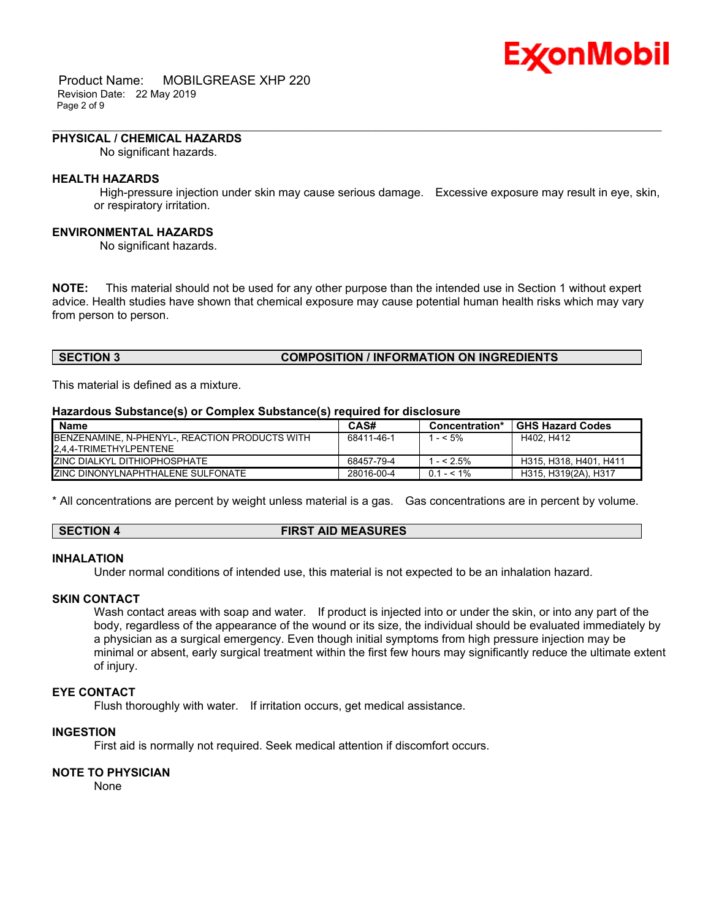# Ex⁄onMobil

 Product Name: MOBILGREASE XHP 220 Revision Date: 22 May 2019 Page 2 of 9

#### **PHYSICAL / CHEMICAL HAZARDS**

No significant hazards.

#### **HEALTH HAZARDS**

 High-pressure injection under skin may cause serious damage. Excessive exposure may result in eye, skin, or respiratory irritation.

\_\_\_\_\_\_\_\_\_\_\_\_\_\_\_\_\_\_\_\_\_\_\_\_\_\_\_\_\_\_\_\_\_\_\_\_\_\_\_\_\_\_\_\_\_\_\_\_\_\_\_\_\_\_\_\_\_\_\_\_\_\_\_\_\_\_\_\_\_\_\_\_\_\_\_\_\_\_\_\_\_\_\_\_\_\_\_\_\_\_\_\_\_\_\_\_\_\_\_\_\_\_\_\_\_\_\_\_\_\_\_\_\_\_\_\_\_\_

#### **ENVIRONMENTAL HAZARDS**

No significant hazards.

**NOTE:** This material should not be used for any other purpose than the intended use in Section 1 without expert advice. Health studies have shown that chemical exposure may cause potential human health risks which may vary from person to person.

#### **SECTION 3 COMPOSITION / INFORMATION ON INGREDIENTS**

This material is defined as a mixture.

#### **Hazardous Substance(s) or Complex Substance(s) required for disclosure**

| <b>Name</b>                                                                      | CAS#       | Concentration* | <b>GHS Hazard Codes</b> |
|----------------------------------------------------------------------------------|------------|----------------|-------------------------|
| <b>IBENZENAMINE, N-PHENYL-, REACTION PRODUCTS WITH</b><br>2.4.4-TRIMETHYLPENTENE | 68411-46-1 | 1 - < 5%       | H402. H412              |
| <b>IZINC DIALKYL DITHIOPHOSPHATE</b>                                             | 68457-79-4 | $1 - 5\%$      | H315, H318, H401, H411  |
| <b>ZINC DINONYLNAPHTHALENE SULFONATE</b>                                         | 28016-00-4 | $0.1 - 5.1\%$  | H315, H319(2A), H317    |

\* All concentrations are percent by weight unless material is a gas. Gas concentrations are in percent by volume.

#### **SECTION 4 FIRST AID MEASURES**

#### **INHALATION**

Under normal conditions of intended use, this material is not expected to be an inhalation hazard.

#### **SKIN CONTACT**

Wash contact areas with soap and water. If product is injected into or under the skin, or into any part of the body, regardless of the appearance of the wound or its size, the individual should be evaluated immediately by a physician as a surgical emergency. Even though initial symptoms from high pressure injection may be minimal or absent, early surgical treatment within the first few hours may significantly reduce the ultimate extent of injury.

#### **EYE CONTACT**

Flush thoroughly with water. If irritation occurs, get medical assistance.

#### **INGESTION**

First aid is normally not required. Seek medical attention if discomfort occurs.

#### **NOTE TO PHYSICIAN**

None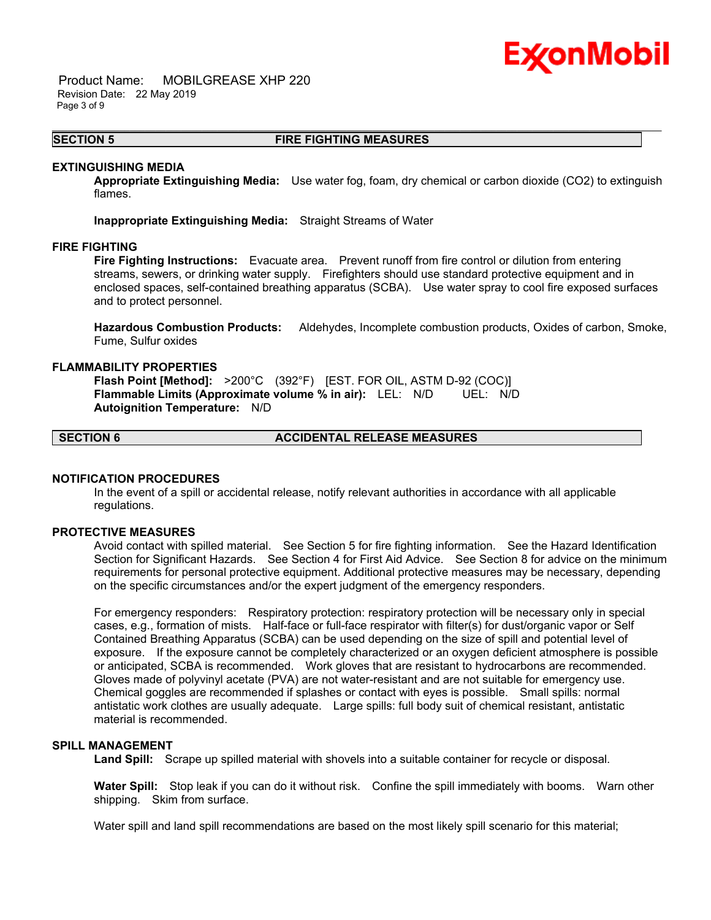# Ex⁄onMobil

 Product Name: MOBILGREASE XHP 220 Revision Date: 22 May 2019 Page 3 of 9

#### \_\_\_\_\_\_\_\_\_\_\_\_\_\_\_\_\_\_\_\_\_\_\_\_\_\_\_\_\_\_\_\_\_\_\_\_\_\_\_\_\_\_\_\_\_\_\_\_\_\_\_\_\_\_\_\_\_\_\_\_\_\_\_\_\_\_\_\_\_\_\_\_\_\_\_\_\_\_\_\_\_\_\_\_\_\_\_\_\_\_\_\_\_\_\_\_\_\_\_\_\_\_\_\_\_\_\_\_\_\_\_\_\_\_\_\_\_\_ **SECTION 5 FIRE FIGHTING MEASURES**

#### **EXTINGUISHING MEDIA**

**Appropriate Extinguishing Media:** Use water fog, foam, dry chemical or carbon dioxide (CO2) to extinguish flames.

**Inappropriate Extinguishing Media:** Straight Streams of Water

#### **FIRE FIGHTING**

**Fire Fighting Instructions:** Evacuate area. Prevent runoff from fire control or dilution from entering streams, sewers, or drinking water supply. Firefighters should use standard protective equipment and in enclosed spaces, self-contained breathing apparatus (SCBA). Use water spray to cool fire exposed surfaces and to protect personnel.

**Hazardous Combustion Products:** Aldehydes, Incomplete combustion products, Oxides of carbon, Smoke, Fume, Sulfur oxides

#### **FLAMMABILITY PROPERTIES**

**Flash Point [Method]:** >200°C (392°F) [EST. FOR OIL, ASTM D-92 (COC)] **Flammable Limits (Approximate volume % in air):** LEL: N/D UEL: N/D **Autoignition Temperature:** N/D

## **SECTION 6 ACCIDENTAL RELEASE MEASURES**

#### **NOTIFICATION PROCEDURES**

In the event of a spill or accidental release, notify relevant authorities in accordance with all applicable regulations.

#### **PROTECTIVE MEASURES**

Avoid contact with spilled material. See Section 5 for fire fighting information. See the Hazard Identification Section for Significant Hazards. See Section 4 for First Aid Advice. See Section 8 for advice on the minimum requirements for personal protective equipment. Additional protective measures may be necessary, depending on the specific circumstances and/or the expert judgment of the emergency responders.

For emergency responders: Respiratory protection: respiratory protection will be necessary only in special cases, e.g., formation of mists. Half-face or full-face respirator with filter(s) for dust/organic vapor or Self Contained Breathing Apparatus (SCBA) can be used depending on the size of spill and potential level of exposure. If the exposure cannot be completely characterized or an oxygen deficient atmosphere is possible or anticipated, SCBA is recommended. Work gloves that are resistant to hydrocarbons are recommended. Gloves made of polyvinyl acetate (PVA) are not water-resistant and are not suitable for emergency use. Chemical goggles are recommended if splashes or contact with eyes is possible. Small spills: normal antistatic work clothes are usually adequate. Large spills: full body suit of chemical resistant, antistatic material is recommended.

#### **SPILL MANAGEMENT**

**Land Spill:** Scrape up spilled material with shovels into a suitable container for recycle or disposal.

**Water Spill:** Stop leak if you can do it without risk. Confine the spill immediately with booms. Warn other shipping. Skim from surface.

Water spill and land spill recommendations are based on the most likely spill scenario for this material;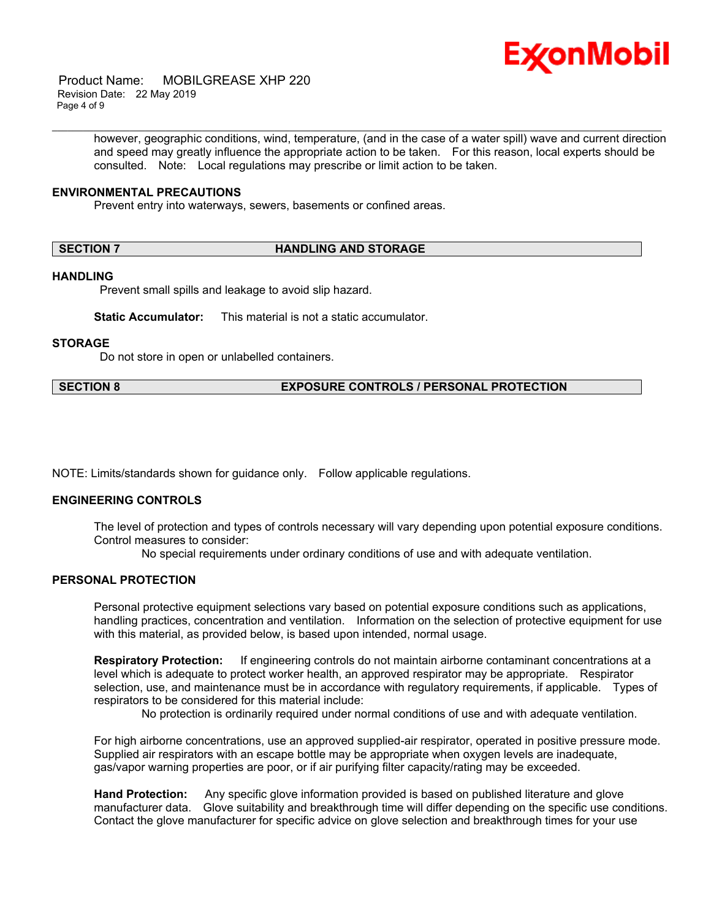

 Product Name: MOBILGREASE XHP 220 Revision Date: 22 May 2019 Page 4 of 9

> however, geographic conditions, wind, temperature, (and in the case of a water spill) wave and current direction and speed may greatly influence the appropriate action to be taken. For this reason, local experts should be consulted. Note: Local regulations may prescribe or limit action to be taken.

\_\_\_\_\_\_\_\_\_\_\_\_\_\_\_\_\_\_\_\_\_\_\_\_\_\_\_\_\_\_\_\_\_\_\_\_\_\_\_\_\_\_\_\_\_\_\_\_\_\_\_\_\_\_\_\_\_\_\_\_\_\_\_\_\_\_\_\_\_\_\_\_\_\_\_\_\_\_\_\_\_\_\_\_\_\_\_\_\_\_\_\_\_\_\_\_\_\_\_\_\_\_\_\_\_\_\_\_\_\_\_\_\_\_\_\_\_\_

#### **ENVIRONMENTAL PRECAUTIONS**

Prevent entry into waterways, sewers, basements or confined areas.

#### **SECTION 7 HANDLING AND STORAGE**

#### **HANDLING**

Prevent small spills and leakage to avoid slip hazard.

**Static Accumulator:** This material is not a static accumulator.

#### **STORAGE**

Do not store in open or unlabelled containers.

#### **SECTION 8 EXPOSURE CONTROLS / PERSONAL PROTECTION**

NOTE: Limits/standards shown for guidance only. Follow applicable regulations.

#### **ENGINEERING CONTROLS**

The level of protection and types of controls necessary will vary depending upon potential exposure conditions. Control measures to consider:

No special requirements under ordinary conditions of use and with adequate ventilation.

#### **PERSONAL PROTECTION**

Personal protective equipment selections vary based on potential exposure conditions such as applications, handling practices, concentration and ventilation. Information on the selection of protective equipment for use with this material, as provided below, is based upon intended, normal usage.

**Respiratory Protection:** If engineering controls do not maintain airborne contaminant concentrations at a level which is adequate to protect worker health, an approved respirator may be appropriate. Respirator selection, use, and maintenance must be in accordance with regulatory requirements, if applicable. Types of respirators to be considered for this material include:

No protection is ordinarily required under normal conditions of use and with adequate ventilation.

For high airborne concentrations, use an approved supplied-air respirator, operated in positive pressure mode. Supplied air respirators with an escape bottle may be appropriate when oxygen levels are inadequate, gas/vapor warning properties are poor, or if air purifying filter capacity/rating may be exceeded.

**Hand Protection:** Any specific glove information provided is based on published literature and glove manufacturer data. Glove suitability and breakthrough time will differ depending on the specific use conditions. Contact the glove manufacturer for specific advice on glove selection and breakthrough times for your use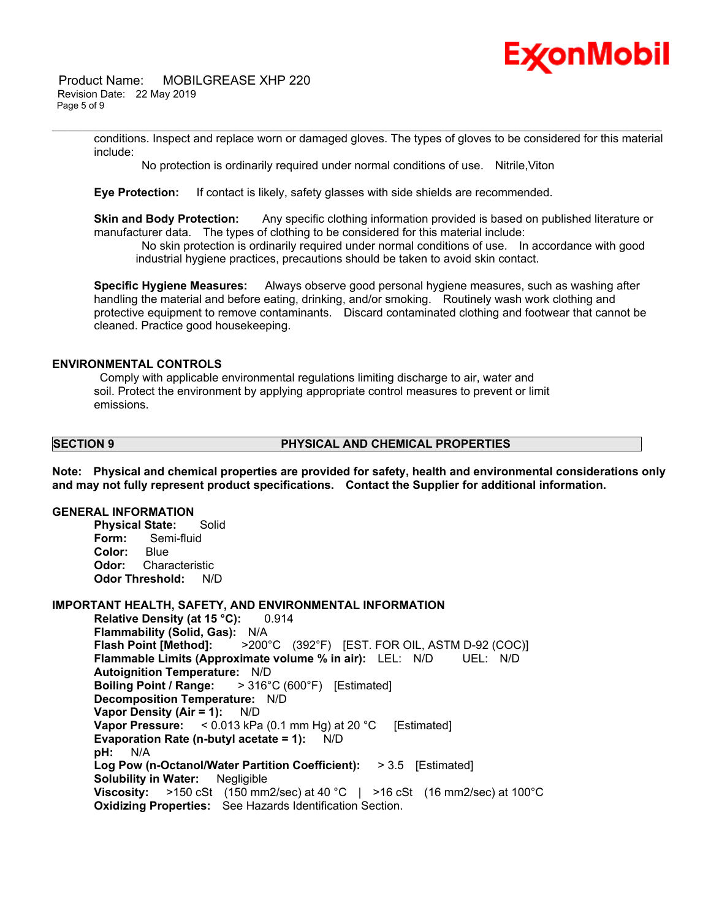

 Product Name: MOBILGREASE XHP 220 Revision Date: 22 May 2019 Page 5 of 9

> conditions. Inspect and replace worn or damaged gloves. The types of gloves to be considered for this material include:

No protection is ordinarily required under normal conditions of use. Nitrile,Viton

\_\_\_\_\_\_\_\_\_\_\_\_\_\_\_\_\_\_\_\_\_\_\_\_\_\_\_\_\_\_\_\_\_\_\_\_\_\_\_\_\_\_\_\_\_\_\_\_\_\_\_\_\_\_\_\_\_\_\_\_\_\_\_\_\_\_\_\_\_\_\_\_\_\_\_\_\_\_\_\_\_\_\_\_\_\_\_\_\_\_\_\_\_\_\_\_\_\_\_\_\_\_\_\_\_\_\_\_\_\_\_\_\_\_\_\_\_\_

**Eye Protection:** If contact is likely, safety glasses with side shields are recommended.

**Skin and Body Protection:** Any specific clothing information provided is based on published literature or manufacturer data. The types of clothing to be considered for this material include:

 No skin protection is ordinarily required under normal conditions of use. In accordance with good industrial hygiene practices, precautions should be taken to avoid skin contact.

**Specific Hygiene Measures:** Always observe good personal hygiene measures, such as washing after handling the material and before eating, drinking, and/or smoking. Routinely wash work clothing and protective equipment to remove contaminants. Discard contaminated clothing and footwear that cannot be cleaned. Practice good housekeeping.

#### **ENVIRONMENTAL CONTROLS**

 Comply with applicable environmental regulations limiting discharge to air, water and soil. Protect the environment by applying appropriate control measures to prevent or limit emissions.

#### **SECTION 9 PHYSICAL AND CHEMICAL PROPERTIES**

**Note: Physical and chemical properties are provided for safety, health and environmental considerations only and may not fully represent product specifications. Contact the Supplier for additional information.**

#### **GENERAL INFORMATION**

**Physical State:** Solid **Form:** Semi-fluid **Color:** Blue **Odor:** Characteristic **Odor Threshold:** N/D

#### **IMPORTANT HEALTH, SAFETY, AND ENVIRONMENTAL INFORMATION**

**Relative Density (at 15 °C): 0.914 Flammability (Solid, Gas):** N/A **Flash Point [Method]:** >200°C (392°F) [EST. FOR OIL, ASTM D-92 (COC)] **Flammable Limits (Approximate volume % in air):** LEL: N/D UEL: N/D **Autoignition Temperature:** N/D **Boiling Point / Range:** > 316°C (600°F) [Estimated] **Decomposition Temperature:** N/D **Vapor Density (Air = 1):** N/D **Vapor Pressure:** < 0.013 kPa (0.1 mm Hg) at 20 °C [Estimated] **Evaporation Rate (n-butyl acetate = 1):** N/D **pH:** N/A **Log Pow (n-Octanol/Water Partition Coefficient):** > 3.5 [Estimated] **Solubility in Water:** Negligible **Viscosity:** >150 cSt (150 mm2/sec) at 40 °C | >16 cSt (16 mm2/sec) at 100°C **Oxidizing Properties:** See Hazards Identification Section.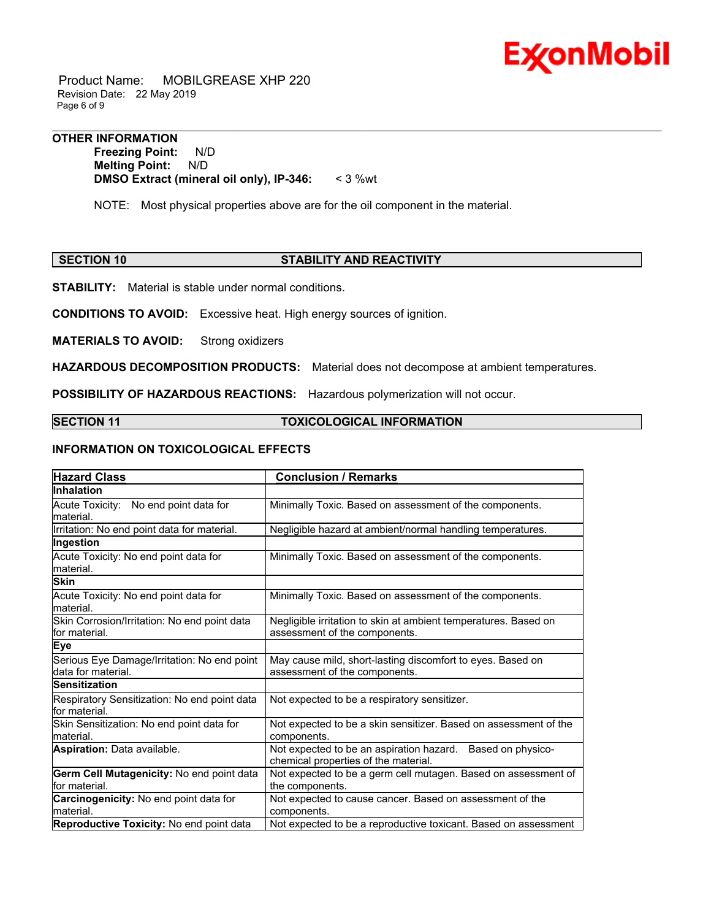

 Product Name: MOBILGREASE XHP 220 Revision Date: 22 May 2019 Page 6 of 9

#### **OTHER INFORMATION**

**Freezing Point:** N/D **Melting Point:** N/D **DMSO Extract (mineral oil only), IP-346:** < 3 %wt

NOTE: Most physical properties above are for the oil component in the material.

#### **SECTION 10 STABILITY AND REACTIVITY**

\_\_\_\_\_\_\_\_\_\_\_\_\_\_\_\_\_\_\_\_\_\_\_\_\_\_\_\_\_\_\_\_\_\_\_\_\_\_\_\_\_\_\_\_\_\_\_\_\_\_\_\_\_\_\_\_\_\_\_\_\_\_\_\_\_\_\_\_\_\_\_\_\_\_\_\_\_\_\_\_\_\_\_\_\_\_\_\_\_\_\_\_\_\_\_\_\_\_\_\_\_\_\_\_\_\_\_\_\_\_\_\_\_\_\_\_\_\_

**STABILITY:** Material is stable under normal conditions.

**CONDITIONS TO AVOID:** Excessive heat. High energy sources of ignition.

**MATERIALS TO AVOID:** Strong oxidizers

**HAZARDOUS DECOMPOSITION PRODUCTS:** Material does not decompose at ambient temperatures.

**POSSIBILITY OF HAZARDOUS REACTIONS:** Hazardous polymerization will not occur.

#### **SECTION 11 TOXICOLOGICAL INFORMATION**

### **INFORMATION ON TOXICOLOGICAL EFFECTS**

| <b>Hazard Class</b>                                                | <b>Conclusion / Remarks</b>                                                                        |
|--------------------------------------------------------------------|----------------------------------------------------------------------------------------------------|
| <b>Inhalation</b>                                                  |                                                                                                    |
| Acute Toxicity: No end point data for<br>lmaterial.                | Minimally Toxic. Based on assessment of the components.                                            |
| Irritation: No end point data for material.                        | Negligible hazard at ambient/normal handling temperatures.                                         |
| Ingestion                                                          |                                                                                                    |
| Acute Toxicity: No end point data for<br>lmaterial.                | Minimally Toxic. Based on assessment of the components.                                            |
| <b>Skin</b>                                                        |                                                                                                    |
| Acute Toxicity: No end point data for<br>lmaterial.                | Minimally Toxic. Based on assessment of the components.                                            |
| Skin Corrosion/Irritation: No end point data<br>lfor material.     | Negligible irritation to skin at ambient temperatures. Based on<br>assessment of the components.   |
| <b>Eye</b>                                                         |                                                                                                    |
| Serious Eye Damage/Irritation: No end point<br>ldata for material. | May cause mild, short-lasting discomfort to eyes. Based on<br>assessment of the components.        |
| <b>Sensitization</b>                                               |                                                                                                    |
| Respiratory Sensitization: No end point data<br>for material.      | Not expected to be a respiratory sensitizer.                                                       |
| Skin Sensitization: No end point data for<br>lmaterial.            | Not expected to be a skin sensitizer. Based on assessment of the<br>components.                    |
| <b>Aspiration: Data available.</b>                                 | Not expected to be an aspiration hazard. Based on physico-<br>chemical properties of the material. |
| Germ Cell Mutagenicity: No end point data                          | Not expected to be a germ cell mutagen. Based on assessment of                                     |
| lfor material.                                                     | the components.                                                                                    |
| Carcinogenicity: No end point data for<br>lmaterial.               | Not expected to cause cancer. Based on assessment of the<br>components.                            |
| Reproductive Toxicity: No end point data                           | Not expected to be a reproductive toxicant. Based on assessment                                    |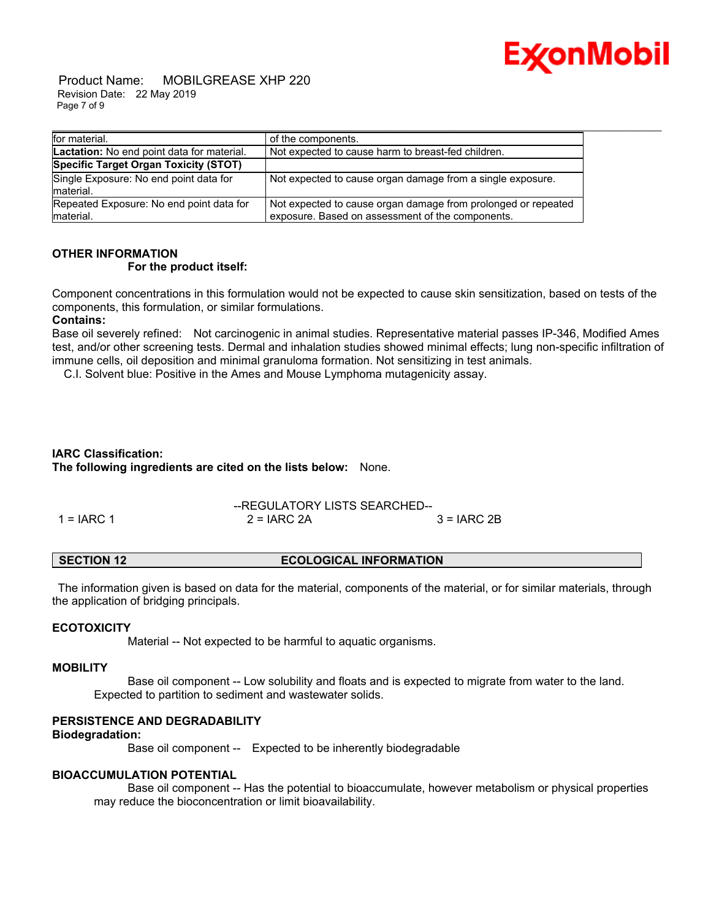

 Product Name: MOBILGREASE XHP 220 Revision Date: 22 May 2019 Page 7 of 9

| for material.                                          | of the components.                                                                                                |
|--------------------------------------------------------|-------------------------------------------------------------------------------------------------------------------|
| <b>Lactation:</b> No end point data for material.      | Not expected to cause harm to breast-fed children.                                                                |
| Specific Target Organ Toxicity (STOT)                  |                                                                                                                   |
| Single Exposure: No end point data for<br>Imaterial.   | Not expected to cause organ damage from a single exposure.                                                        |
| Repeated Exposure: No end point data for<br>Imaterial. | Not expected to cause organ damage from prolonged or repeated<br>exposure. Based on assessment of the components. |

#### **OTHER INFORMATION For the product itself:**

Component concentrations in this formulation would not be expected to cause skin sensitization, based on tests of the components, this formulation, or similar formulations.

#### **Contains:**

Base oil severely refined: Not carcinogenic in animal studies. Representative material passes IP-346, Modified Ames test, and/or other screening tests. Dermal and inhalation studies showed minimal effects; lung non-specific infiltration of immune cells, oil deposition and minimal granuloma formation. Not sensitizing in test animals.

C.I. Solvent blue: Positive in the Ames and Mouse Lymphoma mutagenicity assay.

### **IARC Classification: The following ingredients are cited on the lists below:** None.

|              |               | --REGULATORY LISTS SEARCHED-- |  |  |
|--------------|---------------|-------------------------------|--|--|
| $1 = IARC 1$ | $2 = IARC 2A$ | $3 = IARC 2B$                 |  |  |

#### **SECTION 12 ECOLOGICAL INFORMATION**

 The information given is based on data for the material, components of the material, or for similar materials, through the application of bridging principals.

#### **ECOTOXICITY**

Material -- Not expected to be harmful to aquatic organisms.

#### **MOBILITY**

 Base oil component -- Low solubility and floats and is expected to migrate from water to the land. Expected to partition to sediment and wastewater solids.

## **PERSISTENCE AND DEGRADABILITY**

#### **Biodegradation:**

Base oil component -- Expected to be inherently biodegradable

#### **BIOACCUMULATION POTENTIAL**

 Base oil component -- Has the potential to bioaccumulate, however metabolism or physical properties may reduce the bioconcentration or limit bioavailability.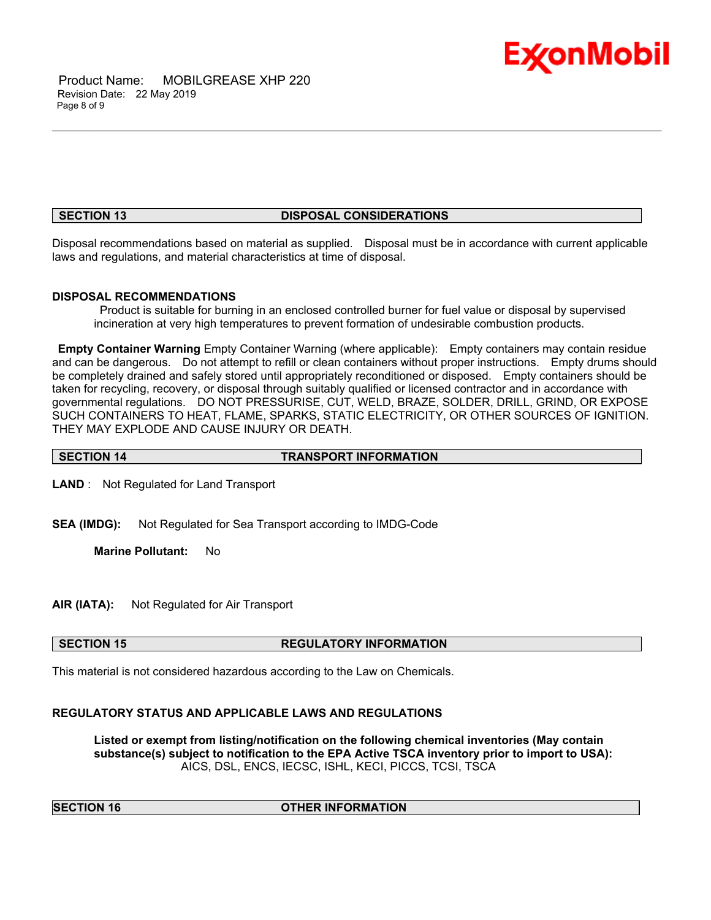

 Product Name: MOBILGREASE XHP 220 Revision Date: 22 May 2019 Page 8 of 9

#### **SECTION 13 DISPOSAL CONSIDERATIONS**

\_\_\_\_\_\_\_\_\_\_\_\_\_\_\_\_\_\_\_\_\_\_\_\_\_\_\_\_\_\_\_\_\_\_\_\_\_\_\_\_\_\_\_\_\_\_\_\_\_\_\_\_\_\_\_\_\_\_\_\_\_\_\_\_\_\_\_\_\_\_\_\_\_\_\_\_\_\_\_\_\_\_\_\_\_\_\_\_\_\_\_\_\_\_\_\_\_\_\_\_\_\_\_\_\_\_\_\_\_\_\_\_\_\_\_\_\_\_

Disposal recommendations based on material as supplied. Disposal must be in accordance with current applicable laws and regulations, and material characteristics at time of disposal.

#### **DISPOSAL RECOMMENDATIONS**

 Product is suitable for burning in an enclosed controlled burner for fuel value or disposal by supervised incineration at very high temperatures to prevent formation of undesirable combustion products.

**Empty Container Warning** Empty Container Warning (where applicable): Empty containers may contain residue and can be dangerous. Do not attempt to refill or clean containers without proper instructions. Empty drums should be completely drained and safely stored until appropriately reconditioned or disposed. Empty containers should be taken for recycling, recovery, or disposal through suitably qualified or licensed contractor and in accordance with governmental regulations. DO NOT PRESSURISE, CUT, WELD, BRAZE, SOLDER, DRILL, GRIND, OR EXPOSE SUCH CONTAINERS TO HEAT, FLAME, SPARKS, STATIC ELECTRICITY, OR OTHER SOURCES OF IGNITION. THEY MAY EXPLODE AND CAUSE INJURY OR DEATH.

## **SECTION 14 TRANSPORT INFORMATION**

**LAND** : Not Regulated for Land Transport

**SEA (IMDG):** Not Regulated for Sea Transport according to IMDG-Code

**Marine Pollutant:** No

**AIR (IATA):** Not Regulated for Air Transport

#### **SECTION 15 REGULATORY INFORMATION**

This material is not considered hazardous according to the Law on Chemicals.

#### **REGULATORY STATUS AND APPLICABLE LAWS AND REGULATIONS**

**Listed or exempt from listing/notification on the following chemical inventories (May contain substance(s) subject to notification to the EPA Active TSCA inventory prior to import to USA):**  AICS, DSL, ENCS, IECSC, ISHL, KECI, PICCS, TCSI, TSCA

| <b>SECTION 16</b> |  |
|-------------------|--|
|-------------------|--|

#### **OTHER INFORMATION**